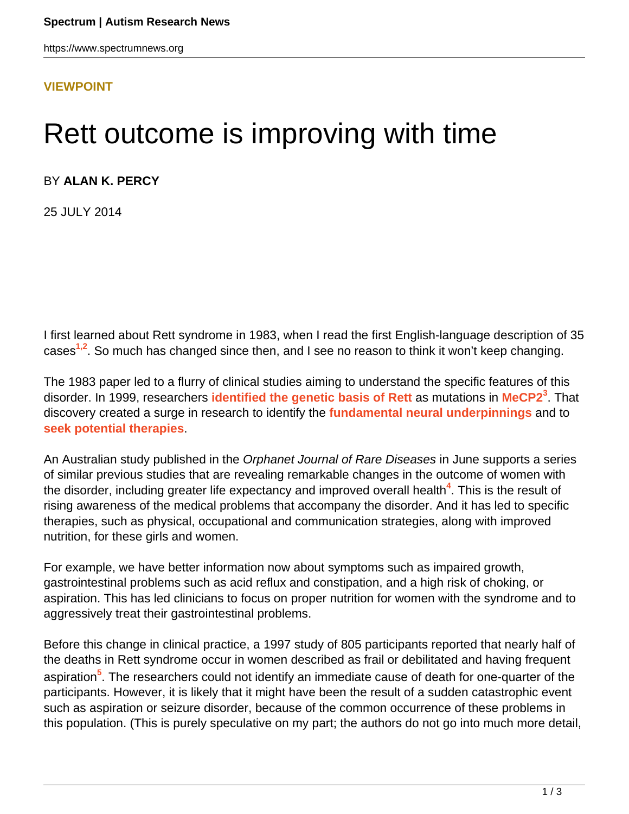#### **[VIEWPOINT](HTTPS://WWW.SPECTRUMNEWS.ORG/OPINION/VIEWPOINT/)**

# Rett outcome is improving with time

BY **ALAN K. PERCY**

25 JULY 2014

I first learned about Rett syndrome in 1983, when I read the first English-language description of 35 cases**1,2**. So much has changed since then, and I see no reason to think it won't keep changing.

The 1983 paper led to a flurry of clinical studies aiming to understand the specific features of this disorder. In 1999, researchers **[identified the genetic basis of Rett](https://www.spectrumnews.org/classic-paper-reviews/2008/huda-zoghbis-1999-rett-syndrome-paper-commentary-by-stephen-warren)** as mutations in **[MeCP2](http://gene.sfari.org/GeneDetail/MECP2)<sup>3</sup>** . That discovery created a surge in research to identify the **[fundamental neural underpinnings](https://www.spectrumnews.org/conference-news/2012/society-for-neuroscience-2012/stem-cell-study-identifies-early-issues-in-rett-syndrome)** and to **[seek potential therapies](https://www.spectrumnews.org/conference-news/2013/society-for-neuroscience-2013/existing-drugs-could-treat-rett-syndrome-studies-suggest)**.

An Australian study published in the Orphanet Journal of Rare Diseases in June supports a series of similar previous studies that are revealing remarkable changes in the outcome of women with the disorder, including greater life expectancy and improved overall health**<sup>4</sup>** . This is the result of rising awareness of the medical problems that accompany the disorder. And it has led to specific therapies, such as physical, occupational and communication strategies, along with improved nutrition, for these girls and women.

For example, we have better information now about symptoms such as impaired growth, gastrointestinal problems such as acid reflux and constipation, and a high risk of choking, or aspiration. This has led clinicians to focus on proper nutrition for women with the syndrome and to aggressively treat their gastrointestinal problems.

Before this change in clinical practice, a 1997 study of 805 participants reported that nearly half of the deaths in Rett syndrome occur in women described as frail or debilitated and having frequent aspiration**<sup>5</sup>** . The researchers could not identify an immediate cause of death for one-quarter of the participants. However, it is likely that it might have been the result of a sudden catastrophic event such as aspiration or seizure disorder, because of the common occurrence of these problems in this population. (This is purely speculative on my part; the authors do not go into much more detail,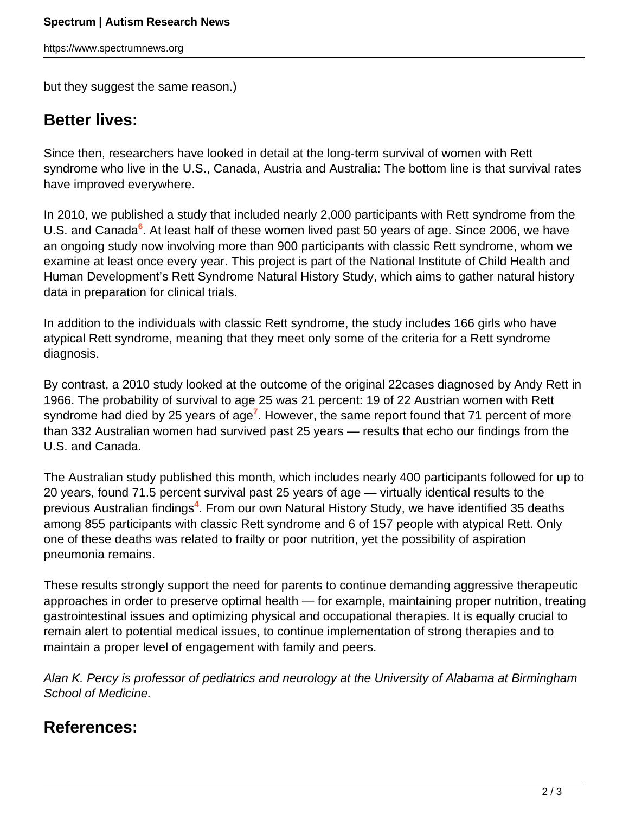https://www.spectrumnews.org

but they suggest the same reason.)

### **Better lives:**

Since then, researchers have looked in detail at the long-term survival of women with Rett syndrome who live in the U.S., Canada, Austria and Australia: The bottom line is that survival rates have improved everywhere.

In 2010, we published a study that included nearly 2,000 participants with Rett syndrome from the U.S. and Canada<sup>6</sup>. At least half of these women lived past 50 years of age. Since 2006, we have an ongoing study now involving more than 900 participants with classic Rett syndrome, whom we examine at least once every year. This project is part of the National Institute of Child Health and Human Development's Rett Syndrome Natural History Study, which aims to gather natural history data in preparation for clinical trials.

In addition to the individuals with classic Rett syndrome, the study includes 166 girls who have atypical Rett syndrome, meaning that they meet only some of the criteria for a Rett syndrome diagnosis.

By contrast, a 2010 study looked at the outcome of the original 22cases diagnosed by Andy Rett in 1966. The probability of survival to age 25 was 21 percent: 19 of 22 Austrian women with Rett syndrome had died by 25 years of age**<sup>7</sup>** . However, the same report found that 71 percent of more than 332 Australian women had survived past 25 years — results that echo our findings from the U.S. and Canada.

The Australian study published this month, which includes nearly 400 participants followed for up to 20 years, found 71.5 percent survival past 25 years of age — virtually identical results to the previous Australian findings**<sup>4</sup>** . From our own Natural History Study, we have identified 35 deaths among 855 participants with classic Rett syndrome and 6 of 157 people with atypical Rett. Only one of these deaths was related to frailty or poor nutrition, yet the possibility of aspiration pneumonia remains.

These results strongly support the need for parents to continue demanding aggressive therapeutic approaches in order to preserve optimal health — for example, maintaining proper nutrition, treating gastrointestinal issues and optimizing physical and occupational therapies. It is equally crucial to remain alert to potential medical issues, to continue implementation of strong therapies and to maintain a proper level of engagement with family and peers.

Alan K. Percy is professor of pediatrics and neurology at the University of Alabama at Birmingham School of Medicine.

## **References:**